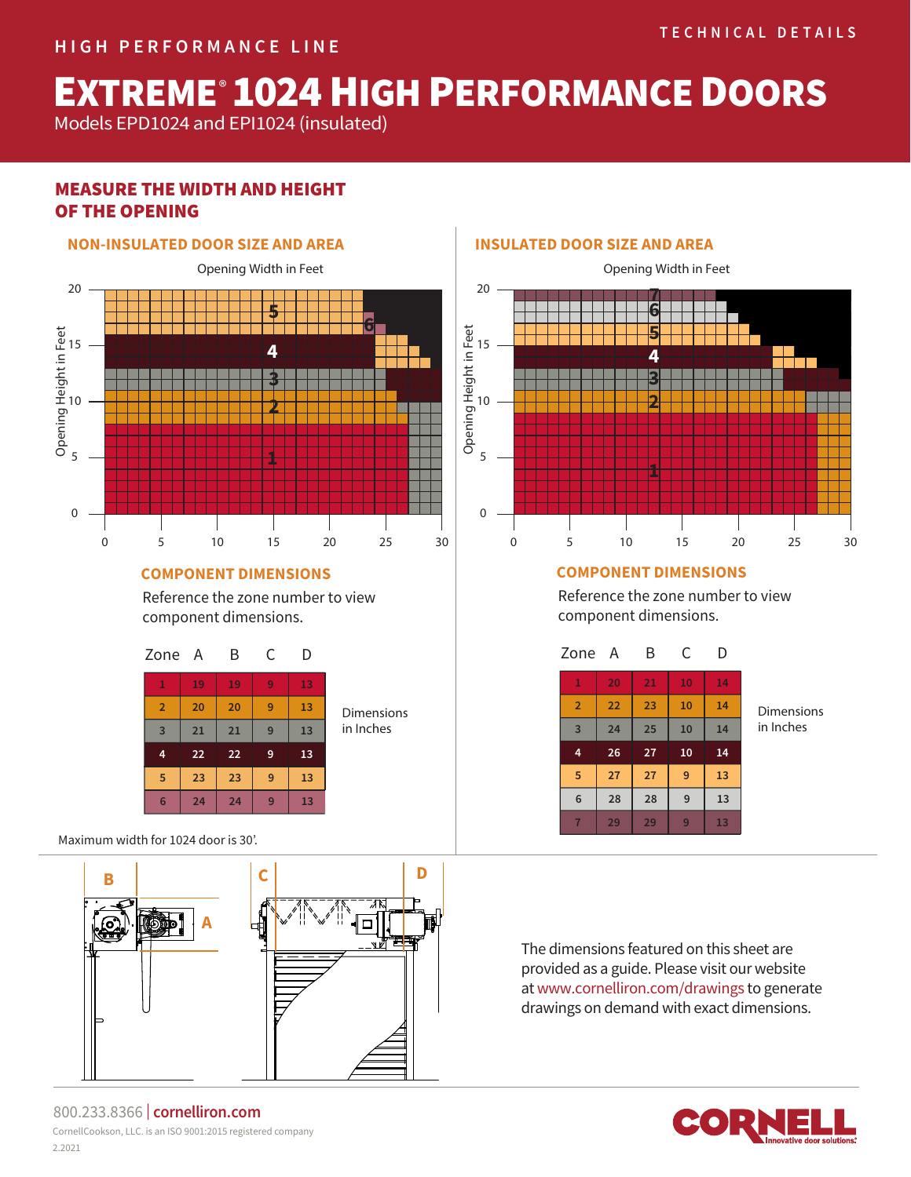# **EXTREME® 1024 HIGH PERFORMANCE DOORS**

Models EPD1024 and EPI1024 (insulated)

# MEASURE THE WIDTH AND HEIGHT OF THE OPENING



### **COMPONENT DIMENSIONS**

Reference the zone number to view component dimensions.



Maximum width for 1024 door is 30'.



#### 800.233.8366 | **cornelliron.com** CornellCookson, LLC. is an ISO 9001:2015 registered company 2.2021

# **INSULATED DOOR SIZE AND AREA**



# **COMPONENT DIMENSIONS**

Reference the zone number to view component dimensions.

| Zone A         |    | Β  | C  | D  |
|----------------|----|----|----|----|
| $\mathbf{1}$   | 20 | 21 | 10 | 14 |
| $\overline{2}$ | 22 | 23 | 10 | 14 |
| $\overline{3}$ | 24 | 25 | 10 | 14 |
| 4              | 26 | 27 | 10 | 14 |
| 5              | 27 | 27 | 9  | 13 |
| 6              | 28 | 28 | 9  | 13 |
|                | 29 | 29 | 9  | 13 |

Dimensions in Inches

The dimensions featured on this sheet are provided as a guide. Please visit our website at www.cornelliron.com/drawings to generate drawings on demand with exact dimensions.